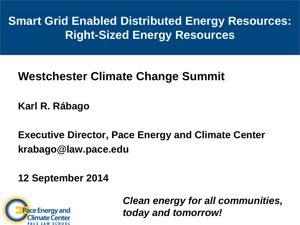**Smart Grid Enabled Distributed Energy Resources: Right-Sized Energy Resources** 

### **Westchester Climate Change Summit**

**Karl R. Rábago**

**Executive Director, Pace Energy and Climate Center krabago@law.pace.edu**

**12 September 2014**



*Clean energy for all communities, today and tomorrow!*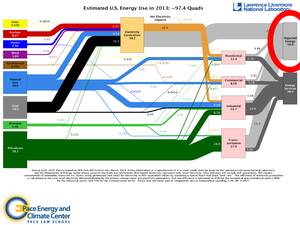Estimated U.S. Energy Use in 2013: ~97.4 Quads

**Lawrence Livermore**<br>
National Laboratory



Source: LLNL 2014. Data is based on DOE/EIA-0035(2014-03), March, 2014. If this information or a reproduction of it is used, credit must be given to the Lawrence Livermore National Laboratory and the Department of Energy, under whose auspices the work was performed. Distributed electricity represents only retail electricity sales and does not include self-generation. EIA reports consumption of renewable resources (i.e., hydro, wind, geothermal and solar) for electricity in BTU-equivalent values by assuming a typical fossil fuel plant "heat rate." The efficiency of electricity production is calculated as the total retail electricity delivered divided by the primary energy input into electricity generation. End use efficiency is estimated as 65% for the residential and commercial sectors 80% for the industrial sector, and 21% for the transportation sector. Totals may not equal sum of components due to independent rounding. LLNL-MI-410527

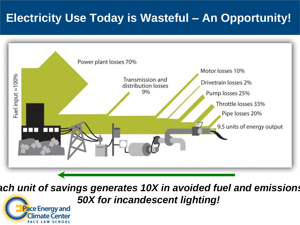## **Electricity Use Today is Wasteful – An Opportunity!**



*Each unit of savings generates 10X in avoided fuel and emissions! 50X for incandescent lighting!*

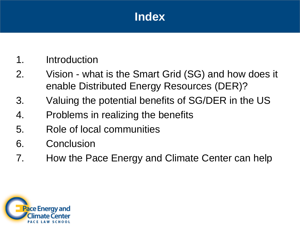### **Index**

- 1. Introduction
- 2. Vision what is the Smart Grid (SG) and how does it enable Distributed Energy Resources (DER)?
- 3. Valuing the potential benefits of SG/DER in the US
- 4. Problems in realizing the benefits
- 5. Role of local communities
- 6. Conclusion
- 7. How the Pace Energy and Climate Center can help

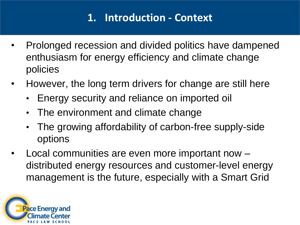### **1. Introduction - Context**

- Prolonged recession and divided politics have dampened enthusiasm for energy efficiency and climate change policies
- However, the long term drivers for change are still here
	- Energy security and reliance on imported oil
	- The environment and climate change
	- The growing affordability of carbon-free supply-side options
- Local communities are even more important now distributed energy resources and customer-level energy management is the future, especially with a Smart Grid

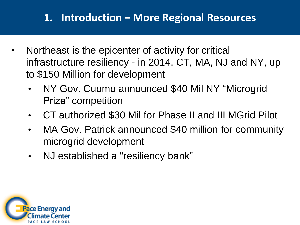### **1. Introduction – More Regional Resources**

- Northeast is the epicenter of activity for critical infrastructure resiliency - in 2014, CT, MA, NJ and NY, up to \$150 Million for development
	- NY Gov. Cuomo announced \$40 Mil NY "Microgrid Prize" competition
	- CT authorized \$30 Mil for Phase II and III MGrid Pilot
	- MA Gov. Patrick announced \$40 million for community microgrid development
	- NJ established a "resiliency bank"

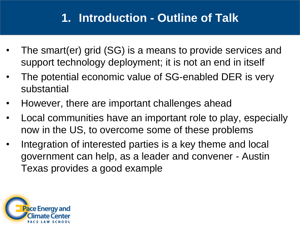## **1. Introduction - Outline of Talk**

- The smart(er) grid (SG) is a means to provide services and support technology deployment; it is not an end in itself
- The potential economic value of SG-enabled DER is very substantial
- However, there are important challenges ahead
- Local communities have an important role to play, especially now in the US, to overcome some of these problems
- Integration of interested parties is a key theme and local government can help, as a leader and convener - Austin Texas provides a good example

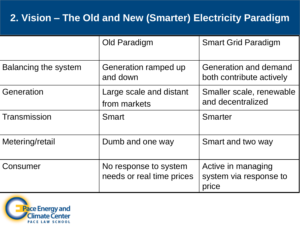### **2. Vision – The Old and New (Smarter) Electricity Paradigm**

|                      | Old Paradigm                                                                                 | <b>Smart Grid Paradigm</b>                            |  |  |
|----------------------|----------------------------------------------------------------------------------------------|-------------------------------------------------------|--|--|
| Balancing the system | <b>Generation and demand</b><br>Generation ramped up<br>and down<br>both contribute actively |                                                       |  |  |
| Generation           | Large scale and distant<br>from markets                                                      | Smaller scale, renewable<br>and decentralized         |  |  |
| Transmission         | <b>Smart</b>                                                                                 | <b>Smarter</b>                                        |  |  |
| Metering/retail      | Dumb and one way                                                                             | Smart and two way                                     |  |  |
| Consumer             | No response to system<br>needs or real time prices                                           | Active in managing<br>system via response to<br>price |  |  |

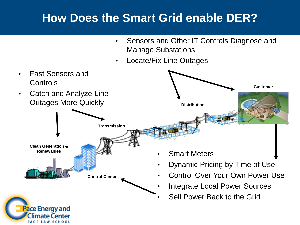### **How Does the Smart Grid enable DER?**

- Sensors and Other IT Controls Diagnose and Manage Substations
- Locate/Fix Line Outages

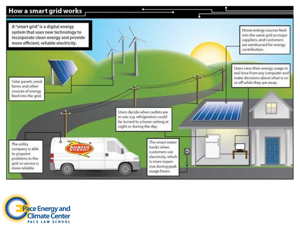#### How a smart grid works



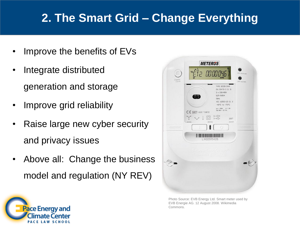## **2. The Smart Grid – Change Everything**

- Improve the benefits of EVs
- Integrate distributed generation and storage
- Improve grid reliability
- Raise large new cyber security and privacy issues
- Above all: Change the business model and regulation (NY REV)



Photo Source: EVB Energy Ltd. Smart meter used by EVB Energie AG. 12 August 2008. Wikimedia Commons.

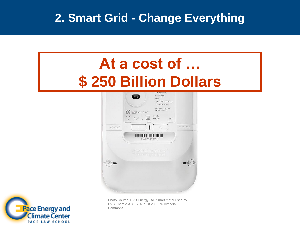### **2. Smart Grid - Change Everything**

# **[At a cost of …](http://upload.wikimedia.org/wikipedia/commons/9/9a/Intelligenter_zaehler-_Smart_meter.jpg) \$ 250 Billion Dollars**





Photo Source: EVB Energy Ltd. Smart meter used by EVB Energie AG. 12 August 2008. Wikimedia Commons.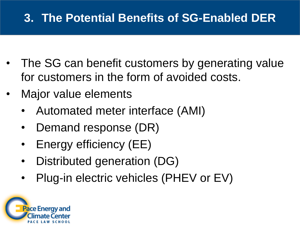## **3. The Potential Benefits of SG-Enabled DER**

- The SG can benefit customers by generating value for customers in the form of avoided costs.
- Major value elements
	- Automated meter interface (AMI)
	- Demand response (DR)
	- Energy efficiency (EE)
	- Distributed generation (DG)
	- Plug-in electric vehicles (PHEV or EV)

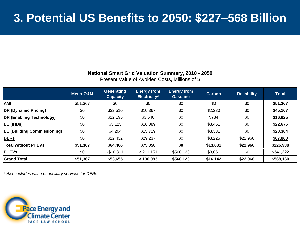#### **National Smart Grid Valuation Summary, 2010 - 2050**

Present Value of Avoided Costs, Millions of \$

|                                    | <b>Meter O&amp;M</b> | <b>Generating</b><br><b>Capacity</b> | <b>Energy from</b><br>Electricity* | <b>Energy from</b><br><b>Gasoline</b> | <b>Carbon</b> | <b>Reliability</b> | <b>Total</b> |
|------------------------------------|----------------------|--------------------------------------|------------------------------------|---------------------------------------|---------------|--------------------|--------------|
| <b>AMI</b>                         | \$51,367             | \$0                                  | \$0                                | \$0                                   | \$0           | \$0                | \$51,367     |
| DR (Dynamic Pricing)               | \$0                  | \$32,510                             | \$10,367                           | \$0                                   | \$2,230       | \$0                | \$45,107     |
| DR (Enabling Technology)           | \$0                  | \$12,195                             | \$3,646                            | \$0                                   | \$784         | \$0                | \$16,625     |
| EE (IHDs)                          | \$0                  | \$3,125                              | \$16,089                           | \$0                                   | \$3,461       | \$0                | \$22,675     |
| <b>EE (Building Commissioning)</b> | \$0                  | \$4,204                              | \$15,719                           | \$0                                   | \$3,381       | \$0                | \$23,304     |
| <b>DERS</b>                        | \$0                  | \$12,432                             | \$29,237                           | \$0                                   | \$3,225       | \$22,966           | \$67,860     |
| <b>Total without PHEVs</b>         | \$51,367             | \$64,466                             | \$75,058                           | \$0                                   | \$13,081      | \$22,966           | \$226,938    |
| <b>PHEVs</b>                       | \$0                  | $-$10,811$                           | $-$211,151$                        | \$560,123                             | \$3,061       | \$0                | \$341,222    |
| <b>Grand Total</b>                 | \$51,367             | \$53,655                             | $-$136,093$                        | \$560,123                             | \$16,142      | \$22,966           | \$568,160    |

*\* Also includes value of ancillary services for DERs*

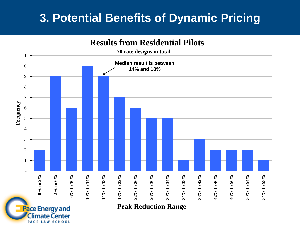### **3. Potential Benefits of Dynamic Pricing**

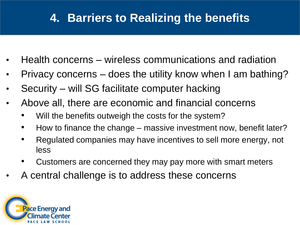## **4. Barriers to Realizing the benefits**

- Health concerns wireless communications and radiation
- Privacy concerns does the utility know when I am bathing?
- Security will SG facilitate computer hacking
- Above all, there are economic and financial concerns
	- Will the benefits outweigh the costs for the system?
	- How to finance the change massive investment now, benefit later?
	- Regulated companies may have incentives to sell more energy, not less
	- Customers are concerned they may pay more with smart meters
- A central challenge is to address these concerns

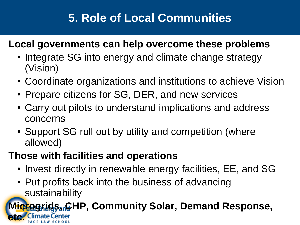## **5. Role of Local Communities**

### **Local governments can help overcome these problems**

- Integrate SG into energy and climate change strategy (Vision)
- Coordinate organizations and institutions to achieve Vision
- Prepare citizens for SG, DER, and new services
- Carry out pilots to understand implications and address concerns
- Support SG roll out by utility and competition (where allowed)

### **Those with facilities and operations**

- Invest directly in renewable energy facilities, EE, and SG
- Put profits back into the business of advancing sustainability

### **Grogrids, CHP, Community Solar, Demand Response, etc.**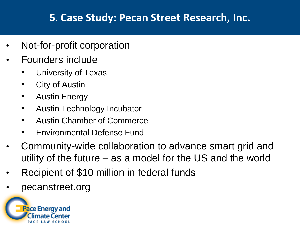### **5. Case Study: Pecan Street Research, Inc.**

- Not-for-profit corporation
- Founders include
	- University of Texas
	- **City of Austin**
	- **Austin Energy**
	- Austin Technology Incubator
	- Austin Chamber of Commerce
	- Environmental Defense Fund
- Community-wide collaboration to advance smart grid and utility of the future – as a model for the US and the world
- Recipient of \$10 million in federal funds
- pecanstreet.org

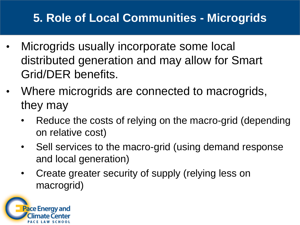## **5. Role of Local Communities - Microgrids**

- Microgrids usually incorporate some local distributed generation and may allow for Smart Grid/DER benefits.
- Where microgrids are connected to macrogrids, they may
	- Reduce the costs of relying on the macro-grid (depending on relative cost)
	- Sell services to the macro-grid (using demand response and local generation)
	- Create greater security of supply (relying less on macrogrid)

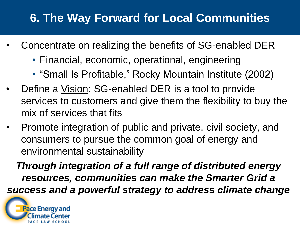## **6. The Way Forward for Local Communities**

- Concentrate on realizing the benefits of SG-enabled DER
	- Financial, economic, operational, engineering
	- "Small Is Profitable," Rocky Mountain Institute (2002)
- Define a Vision: SG-enabled DER is a tool to provide services to customers and give them the flexibility to buy the mix of services that fits
- Promote integration of public and private, civil society, and consumers to pursue the common goal of energy and environmental sustainability

*Through integration of a full range of distributed energy resources, communities can make the Smarter Grid a success and a powerful strategy to address climate change*

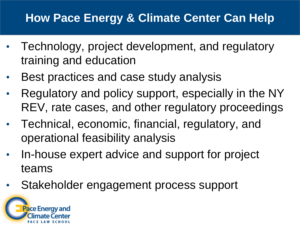### **How Pace Energy & Climate Center Can Help**

- Technology, project development, and regulatory training and education
- Best practices and case study analysis
- Regulatory and policy support, especially in the NY REV, rate cases, and other regulatory proceedings
- Technical, economic, financial, regulatory, and operational feasibility analysis
- In-house expert advice and support for project teams
- Stakeholder engagement process support